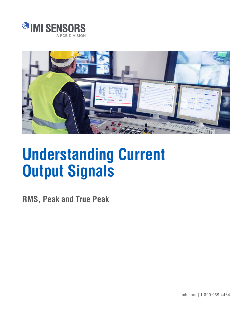



# **Understanding Current Output Signals**

**RMS, Peak and True Peak**

pcb.com | 1 800 959 4464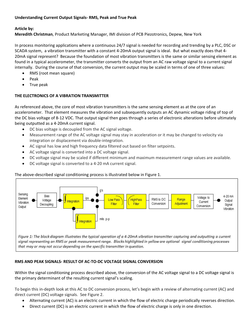# **Understanding Current Output Signals- RMS, Peak and True Peak**

## **Article by:**

**Meredith Christman**, Product Marketing Manager, IMI division of PCB Piezotronics, Depew, New York

In process monitoring applications where a continuous 24/7 signal is needed for recording and trending by a PLC, DSC or SCADA system, a vibration transmitter with a constant 4-20mA output signal is ideal. But what exactly does that 4- 20mA signal represent? Because the foundation of most vibration transmitters is the same or similar sensing element as found in a typical accelerometer, the transmitter converts the output from an AC raw voltage signal to a current signal internally. During the course of that conversion, the current output may be scaled in terms of one of three values:

- RMS (root mean square)
- Peak
- True peak

## **THE ELECTRONICS OF A VIBRATION TRANSMITTER**

As referenced above, the core of most vibration transmitters is the same sensing element as at the core of an accelerometer. That element measures the vibration and subsequently outputs an AC dynamic voltage riding of top of the DC bias voltage of 8-12 VDC. That output signal then goes through a series of electronic alterations before ultimately being outputted as a 4-20mA current signal.

- DC bias voltage is decoupled from the AC signal voltage.
- Measurement range of the AC voltage signal may stay in acceleration or it may be changed to velocity via integration or displacement via double-integration.
- AC signal has low and high frequency data filtered out based on filter setpoints.
- AC voltage signal is converted into a DC voltage signal.
- DC voltage signal may be scaled if different minimum and maximum measurement range values are available.
- DC voltage signal is converted to a 4-20 mA current signal.

#### The above-described signal conditioning process is illustrated below in Figure 1.



## that may or may not occur depending on the specific transmitter in question.

#### **RMS AND PEAK SIGNALS- RESULT OF AC-TO-DC VOLTAGE SIGNAL CONVERSION**

Within the signal conditioning process described above, the conversion of the AC voltage signal to a DC voltage signal is the primary determinant of the resulting current signal's scaling.

To begin this in-depth look at this AC to DC conversion process, let's begin with a review of alternating current (AC) and direct current (DC) voltage signals. See Figure 2.

- Alternating current (AC) is an [electric current](https://en.wikipedia.org/wiki/Electric_current) in which the flow of [electric charge](https://en.wikipedia.org/wiki/Electric_charge) periodically reverses direction.
- Direct current (DC) is an electric current in which the flow of electric charge is only in one direction.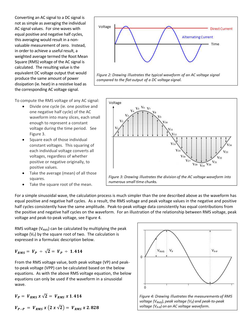Converting an AC signal to a DC signal is not as simple as averaging the individual AC signal values. For sine waves with equal positive and negative half cycles, this averaging would result in a nonvaluable measurement of zero. Instead, in order to achieve a useful result, a weighted average termed the Root Mean Square (RMS) voltage of the AC signal is calculated. The resulting value is the equivalent DC voltage output that would produce the same amount of power dissipation (ie. heat) in a resistive load as the corresponding AC voltage signal.

To compute the RMS voltage of any AC signal:

- Divide one cycle (ie. one positive and one negative half cycle) of the AC waveform into many slices, each small enough to represent a constant voltage during the time period. See Figure 3.
- Square each of those individual constant voltages. This squaring of each individual voltage converts all voltages, regardless of whether positive or negative originally, to positive values.
- Take the average (mean) of all those squares.
- Take the square root of the mean.





For a simple sinusoidal wave, the calculation process is much simpler than the one described above as the waveform has equal positive and negative half cycles. As a result, the RMS voltage and peak voltage values in the negative and positive half cycles consistently have the same amplitude. Peak-to-peak voltage data consistently has equal contributions from the positive and negative half cycles on the waveform. For an illustration of the relationship between RMS voltage, peak voltage and peak-to-peak voltage, see Figure 4.

RMS voltage ( $V<sub>RMS</sub>$ ) can be calculated by multiplying the peak voltage  $(V_P)$  by the square root of two. The calculation is expressed in a formulaic description below.

$$
V_{RMS} = V_P \div \sqrt{2} = V_P \div 1.414
$$

From the RMS voltage value, both peak voltage (VP) and peakto-peak voltage (VPP) can be calculated based on the below equations. As with the above RMS voltage equation, the below equations can only be used if the waveform in a sinusoidal wave.

$$
V_P = V_{RMS} x \sqrt{2} = V_{RMS} x 1.414
$$
  

$$
V_{P-P} = V_{RMS} x (2 x \sqrt{2}) = V_{RMS} x 2.828
$$



voltage (VRMS), peak voltage (V<sub>P</sub>) and peak-to-peak voltage (V<sub>P-P</sub>) on an AC voltage waveform.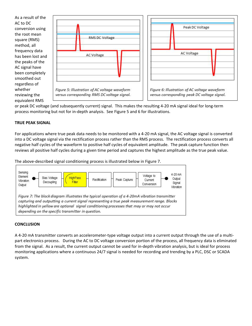

or peak DC voltage (and subsequently current) signal. This makes the resulting 4-20 mA signal ideal for long-term process monitoring but not for in-depth analysis. See Figure 5 and 6 for illustrations.

# **TRUE PEAK SIGNAL**

For applications where true peak data needs to be monitored with a 4-20 mA signal, the AC voltage signal is converted into a DC voltage signal via the rectification process rather than the RMS process. The rectification process converts all negative half cycles of the waveform to positive half cycles of equivalent amplitude. The peak capture function then reviews all positive half cycles during a given time period and captures the highest amplitude as the true peak value.

The above-described signal conditioning process is illustrated below in Figure 7.



# **CONCLUSION**

A 4-20 mA transmitter converts an accelerometer-type voltage output into a current output through the use of a multipart electronics process. During the AC to DC voltage conversion portion of the process, all frequency data is eliminated from the signal. As a result, the current output cannot be used for in-depth vibration analysis, but is ideal for process monitoring applications where a continuous 24/7 signal is needed for recording and trending by a PLC, DSC or SCADA system.